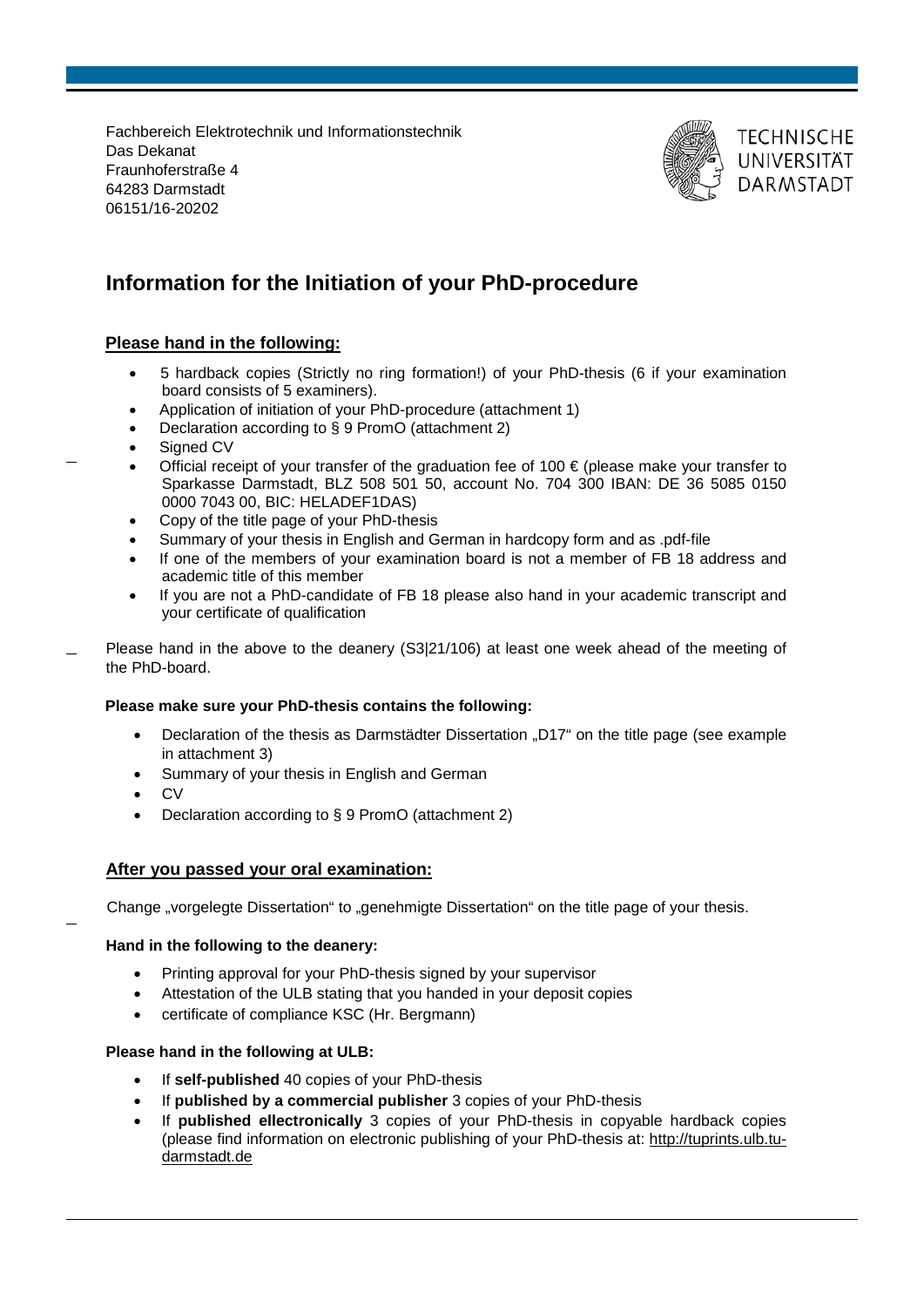Fachbereich Elektrotechnik und Informationstechnik Das Dekanat Fraunhoferstraße 4 64283 Darmstadt 06151/16-20202



## **TECHNISCHE** UNIVERSITÄT **DARMSTADT**

# **Information for the Initiation of your PhD-procedure**

### **Please hand in the following:**

- 5 hardback copies (Strictly no ring formation!) of your PhD-thesis (6 if your examination board consists of 5 examiners).
- Application of initiation of your PhD-procedure (attachment 1)
- Declaration according to § 9 PromO (attachment 2)
- Signed CV
- Official receipt of your transfer of the graduation fee of 100  $\epsilon$  (please make your transfer to Sparkasse Darmstadt, BLZ 508 501 50, account No. 704 300 IBAN: DE 36 5085 0150 0000 7043 00, BIC: HELADEF1DAS)
- Copy of the title page of your PhD-thesis
- Summary of your thesis in English and German in hardcopy form and as .pdf-file
- If one of the members of your examination board is not a member of FB 18 address and academic title of this member
- If you are not a PhD-candidate of FB 18 please also hand in your academic transcript and your certificate of qualification
- Please hand in the above to the deanery (S3|21/106) at least one week ahead of the meeting of the PhD-board.

#### **Please make sure your PhD-thesis contains the following:**

- Declaration of the thesis as Darmstädter Dissertation "D17" on the title page (see example in attachment 3)
- Summary of your thesis in English and German
- CV
- Declaration according to § 9 PromO (attachment 2)

### **After you passed your oral examination:**

Change "vorgelegte Dissertation" to "genehmigte Dissertation" on the title page of your thesis.

#### **Hand in the following to the deanery:**

- Printing approval for your PhD-thesis signed by your supervisor
- Attestation of the ULB stating that you handed in your deposit copies
- certificate of compliance KSC (Hr. Bergmann)

#### **Please hand in the following at ULB:**

- If self-published 40 copies of your PhD-thesis
- If **published by a commercial publisher** 3 copies of your PhD-thesis
- If **published ellectronically** 3 copies of your PhD-thesis in copyable hardback copies (please find information on electronic publishing of your PhD-thesis at: http://tuprints.ulb.tudarmstadt.de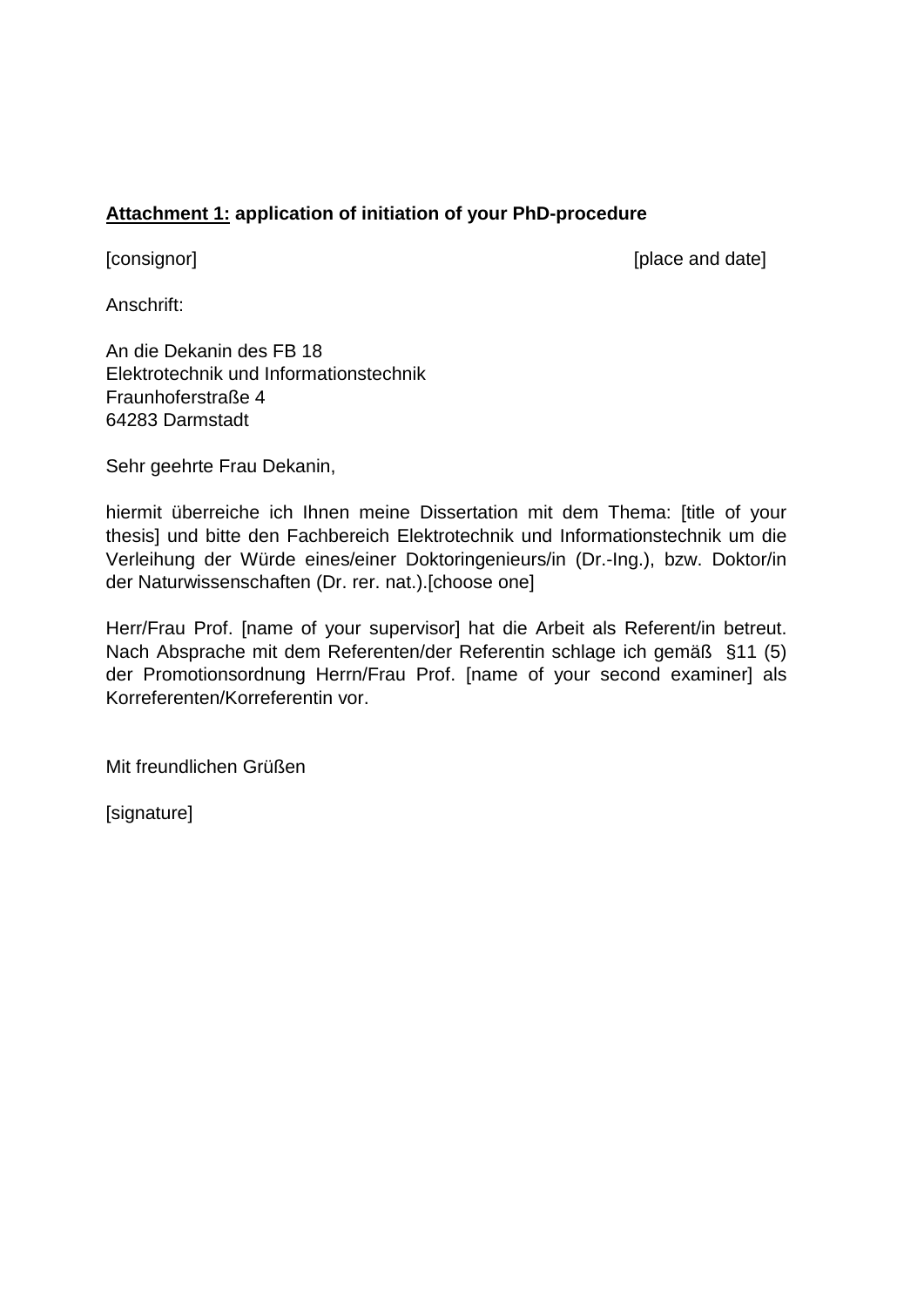## **Attachment 1: application of initiation of your PhD-procedure**

[consignor] [place and date]

Anschrift:

An die Dekanin des FB 18 Elektrotechnik und Informationstechnik Fraunhoferstraße 4 64283 Darmstadt

Sehr geehrte Frau Dekanin,

hiermit überreiche ich Ihnen meine Dissertation mit dem Thema: [title of your thesis] und bitte den Fachbereich Elektrotechnik und Informationstechnik um die Verleihung der Würde eines/einer Doktoringenieurs/in (Dr.-Ing.), bzw. Doktor/in der Naturwissenschaften (Dr. rer. nat.).[choose one]

Herr/Frau Prof. [name of your supervisor] hat die Arbeit als Referent/in betreut. Nach Absprache mit dem Referenten/der Referentin schlage ich gemäß §11 (5) der Promotionsordnung Herrn/Frau Prof. [name of your second examiner] als Korreferenten/Korreferentin vor.

Mit freundlichen Grüßen

[signature]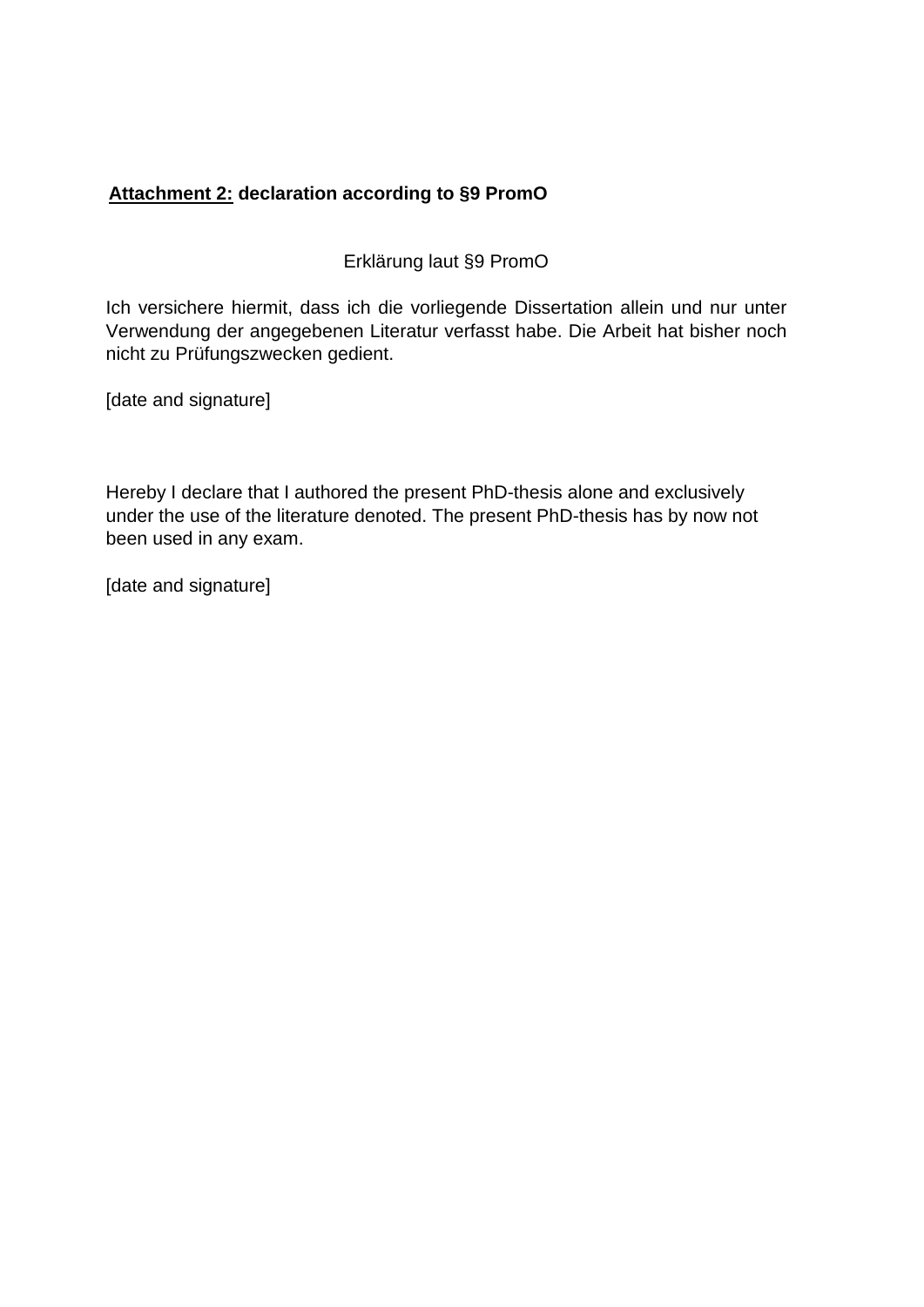# **Attachment 2: declaration according to §9 PromO**

Erklärung laut §9 PromO

Ich versichere hiermit, dass ich die vorliegende Dissertation allein und nur unter Verwendung der angegebenen Literatur verfasst habe. Die Arbeit hat bisher noch nicht zu Prüfungszwecken gedient.

[date and signature]

Hereby I declare that I authored the present PhD-thesis alone and exclusively under the use of the literature denoted. The present PhD-thesis has by now not been used in any exam.

[date and signature]